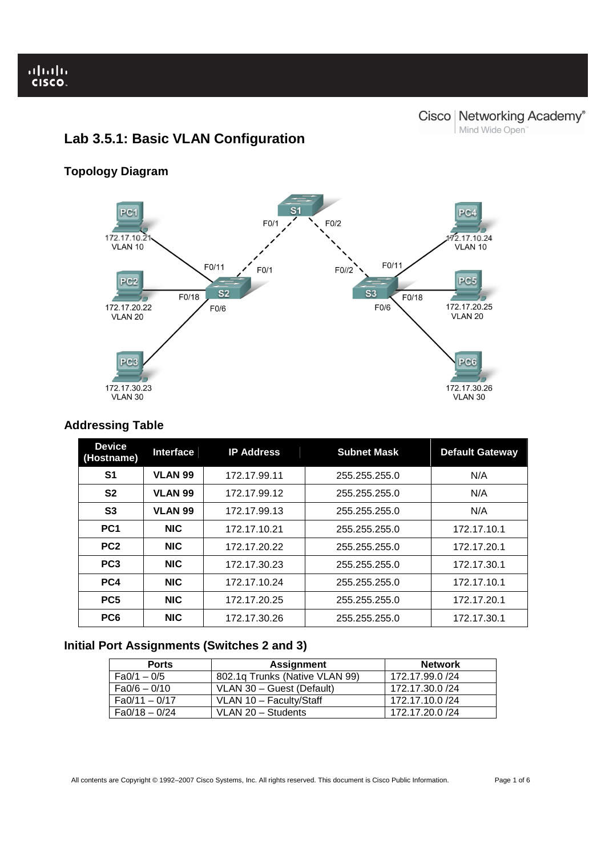# **Lab 3.5.1: Basic VLAN Configuration**

# **Topology Diagram**



# **Addressing Table**

| <b>Device</b><br>(Hostname) | <b>Interface</b> | <b>IP Address</b> | <b>Subnet Mask</b> | <b>Default Gateway</b> |
|-----------------------------|------------------|-------------------|--------------------|------------------------|
| S1                          | <b>VLAN 99</b>   | 172.17.99.11      | 255.255.255.0      | N/A                    |
| S <sub>2</sub>              | <b>VLAN 99</b>   | 172.17.99.12      | 255.255.255.0      | N/A                    |
| S <sub>3</sub>              | <b>VLAN 99</b>   | 172.17.99.13      | 255.255.255.0      | N/A                    |
| PC <sub>1</sub>             | <b>NIC</b>       | 172.17.10.21      | 255.255.255.0      | 172.17.10.1            |
| PC <sub>2</sub>             | <b>NIC</b>       | 172.17.20.22      | 255.255.255.0      | 172.17.20.1            |
| PC <sub>3</sub>             | <b>NIC</b>       | 172.17.30.23      | 255.255.255.0      | 172.17.30.1            |
| PC4                         | <b>NIC</b>       | 172.17.10.24      | 255.255.255.0      | 172.17.10.1            |
| PC <sub>5</sub>             | <b>NIC</b>       | 172.17.20.25      | 255.255.255.0      | 172.17.20.1            |
| PC <sub>6</sub>             | <b>NIC</b>       | 172.17.30.26      | 255.255.255.0      | 172.17.30.1            |

# **Initial Port Assignments (Switches 2 and 3)**

| <b>Ports</b>    | Assignment                     | <b>Network</b>  |
|-----------------|--------------------------------|-----------------|
| $Fa0/1 - 0/5$   | 802.1g Trunks (Native VLAN 99) | 172.17.99.0 /24 |
| $Fa0/6 - 0/10$  | VLAN 30 - Guest (Default)      | 172.17.30.0 /24 |
| $Fa0/11 - 0/17$ | VLAN 10 - Faculty/Staff        | 172.17.10.0 /24 |
| $Fa0/18-0/24$   | VLAN 20 - Students             | 172.17.20.0/24  |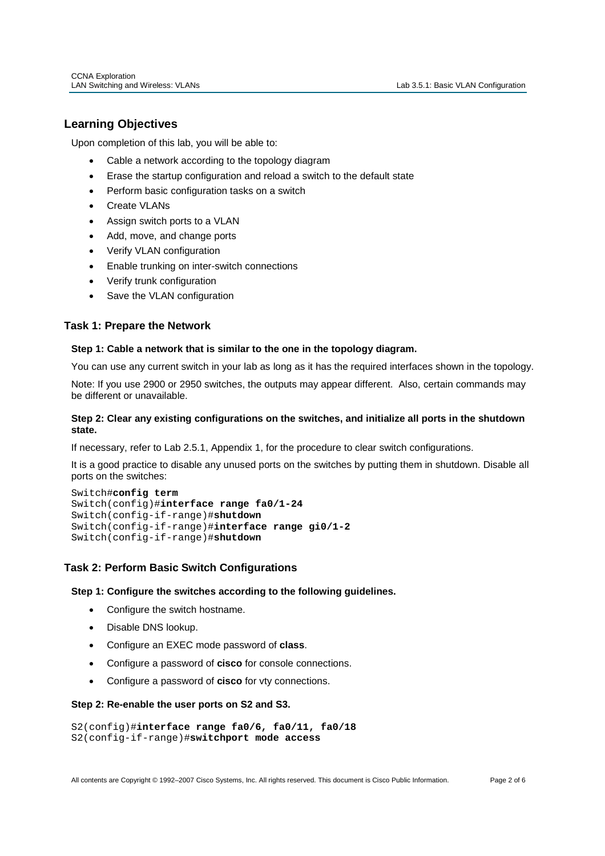# **Learning Objectives**

Ī

Upon completion of this lab, you will be able to:

- Cable a network according to the topology diagram
- Erase the startup configuration and reload a switch to the default state
- Perform basic configuration tasks on a switch
- Create VLANs
- Assign switch ports to a VLAN
- Add, move, and change ports
- Verify VLAN configuration
- Enable trunking on inter-switch connections
- Verify trunk configuration
- Save the VLAN configuration

# **Task 1: Prepare the Network**

## **Step 1: Cable a network that is similar to the one in the topology diagram.**

You can use any current switch in your lab as long as it has the required interfaces shown in the topology.

Note: If you use 2900 or 2950 switches, the outputs may appear different. Also, certain commands may be different or unavailable.

# **Step 2: Clear any existing configurations on the switches, and initialize all ports in the shutdown state.**

If necessary, refer to Lab 2.5.1, Appendix 1, for the procedure to clear switch configurations.

It is a good practice to disable any unused ports on the switches by putting them in shutdown. Disable all ports on the switches:

```
Switch#config term
Switch(config)#interface range fa0/1-24
Switch(config-if-range)#shutdown
Switch(config-if-range)#interface range gi0/1-2
Switch(config-if-range)#shutdown
```
# **Task 2: Perform Basic Switch Configurations**

## **Step 1: Configure the switches according to the following guidelines.**

- Configure the switch hostname.
- Disable DNS lookup.
- Configure an EXEC mode password of **class**.
- Configure a password of **cisco** for console connections.
- Configure a password of **cisco** for vty connections.

### **Step 2: Re-enable the user ports on S2 and S3.**

```
S2(config)#interface range fa0/6, fa0/11, fa0/18 
S2(config-if-range)#switchport mode access
```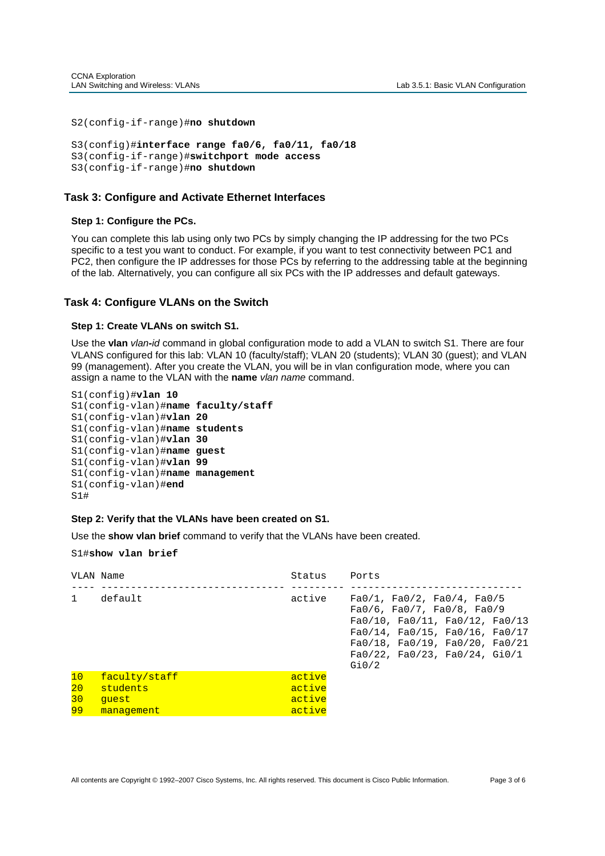```
S2(config-if-range)#no shutdown
```

```
S3(config)#interface range fa0/6, fa0/11, fa0/18 
S3(config-if-range)#switchport mode access 
S3(config-if-range)#no shutdown
```
# **Task 3: Configure and Activate Ethernet Interfaces**

## **Step 1: Configure the PCs.**

You can complete this lab using only two PCs by simply changing the IP addressing for the two PCs specific to a test you want to conduct. For example, if you want to test connectivity between PC1 and PC2, then configure the IP addresses for those PCs by referring to the addressing table at the beginning of the lab. Alternatively, you can configure all six PCs with the IP addresses and default gateways.

# **Task 4: Configure VLANs on the Switch**

### **Step 1: Create VLANs on switch S1.**

Use the **vlan** vlan**-**id command in global configuration mode to add a VLAN to switch S1. There are four VLANS configured for this lab: VLAN 10 (faculty/staff); VLAN 20 (students); VLAN 30 (guest); and VLAN 99 (management). After you create the VLAN, you will be in vlan configuration mode, where you can assign a name to the VLAN with the **name** vlan name command.

| S1(config)# <b>vlan 10</b>                 |  |
|--------------------------------------------|--|
| S1(config-vlan)# <b>name faculty/staff</b> |  |
| S1(config-vlan)# <b>vlan 20</b>            |  |
| S1(config-vlan)#name students              |  |
| S1(config-vlan)# <b>vlan 30</b>            |  |
| S1(config-vlan)#name guest                 |  |
| S1(config-vlan)# <b>vlan 99</b>            |  |
| S1(config-vlan)#name management            |  |
| S1(confiq-vlan)# <b>end</b>                |  |
| S1#                                        |  |

## **Step 2: Verify that the VLANs have been created on S1.**

Use the **show vlan brief** command to verify that the VLANs have been created.

#### S1#**show vlan brief**

| VLAN Name |                           | Status           | Ports                                                                                                                                                                                                                                                           |
|-----------|---------------------------|------------------|-----------------------------------------------------------------------------------------------------------------------------------------------------------------------------------------------------------------------------------------------------------------|
| 1         | default                   | active           | $Fa0/1$ , $Fa0/2$ , $Fa0/4$ , $Fa0/5$<br>$Fa0/6$ , $Fa0/7$ , $Fa0/8$ , $Fa0/9$<br>$Fa0/10$ , $Fa0/11$ , $Fa0/12$ , $Fa0/13$<br>$Fa0/14$ , $Fa0/15$ , $Fa0/16$ , $Fa0/17$<br>$Fa0/18$ , $Fa0/19$ , $Fa0/20$ , $Fa0/21$<br>Fa0/22, Fa0/23, Fa0/24, Gi0/1<br>Gi0/2 |
| 10<br>20  | faculty/staff<br>students | active<br>active |                                                                                                                                                                                                                                                                 |
| 30        | quest                     | active           |                                                                                                                                                                                                                                                                 |
| 99        | management                | active           |                                                                                                                                                                                                                                                                 |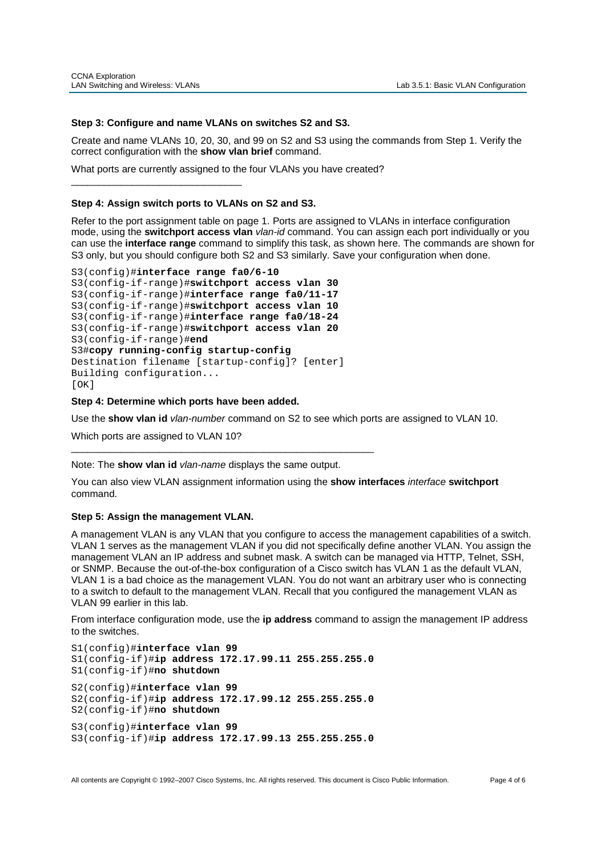### **Step 3: Configure and name VLANs on switches S2 and S3.**

Create and name VLANs 10, 20, 30, and 99 on S2 and S3 using the commands from Step 1. Verify the correct configuration with the **show vlan brief** command.

What ports are currently assigned to the four VLANs you have created?

### **Step 4: Assign switch ports to VLANs on S2 and S3.**

\_\_\_\_\_\_\_\_\_\_\_\_\_\_\_\_\_\_\_\_\_\_\_\_\_\_\_\_\_\_\_

Refer to the port assignment table on page 1. Ports are assigned to VLANs in interface configuration mode, using the **switchport access vlan** vlan-id command. You can assign each port individually or you can use the **interface range** command to simplify this task, as shown here. The commands are shown for S3 only, but you should configure both S2 and S3 similarly. Save your configuration when done.

```
S3(config)#interface range fa0/6-10
S3(config-if-range)#switchport access vlan 30
S3(config-if-range)#interface range fa0/11-17
S3(config-if-range)#switchport access vlan 10 
S3(config-if-range)#interface range fa0/18-24
S3(config-if-range)#switchport access vlan 20 
S3(config-if-range)#end
S3#copy running-config startup-config
Destination filename [startup-config]? [enter] 
Building configuration... 
[OK]
```
**Step 4: Determine which ports have been added.** 

Use the **show vlan id** vlan-number command on S2 to see which ports are assigned to VLAN 10.

Which ports are assigned to VLAN 10?

Note: The **show vlan id** vlan-name displays the same output.

\_\_\_\_\_\_\_\_\_\_\_\_\_\_\_\_\_\_\_\_\_\_\_\_\_\_\_\_\_\_\_\_\_\_\_\_\_\_\_\_\_\_\_\_\_\_\_\_\_\_\_\_\_\_\_

You can also view VLAN assignment information using the **show interfaces** interface **switchport** command.

#### **Step 5: Assign the management VLAN.**

A management VLAN is any VLAN that you configure to access the management capabilities of a switch. VLAN 1 serves as the management VLAN if you did not specifically define another VLAN. You assign the management VLAN an IP address and subnet mask. A switch can be managed via HTTP, Telnet, SSH, or SNMP. Because the out-of-the-box configuration of a Cisco switch has VLAN 1 as the default VLAN, VLAN 1 is a bad choice as the management VLAN. You do not want an arbitrary user who is connecting to a switch to default to the management VLAN. Recall that you configured the management VLAN as VLAN 99 earlier in this lab.

From interface configuration mode, use the **ip address** command to assign the management IP address to the switches.

S1(config)#**interface vlan 99** S1(config-if)#**ip address 172.17.99.11 255.255.255.0** S1(config-if)#**no shutdown** S2(config)#**interface vlan 99**  S2(config-if)#**ip address 172.17.99.12 255.255.255.0** S2(config-if)#**no shutdown** S3(config)#**interface vlan 99** S3(config-if)#**ip address 172.17.99.13 255.255.255.0**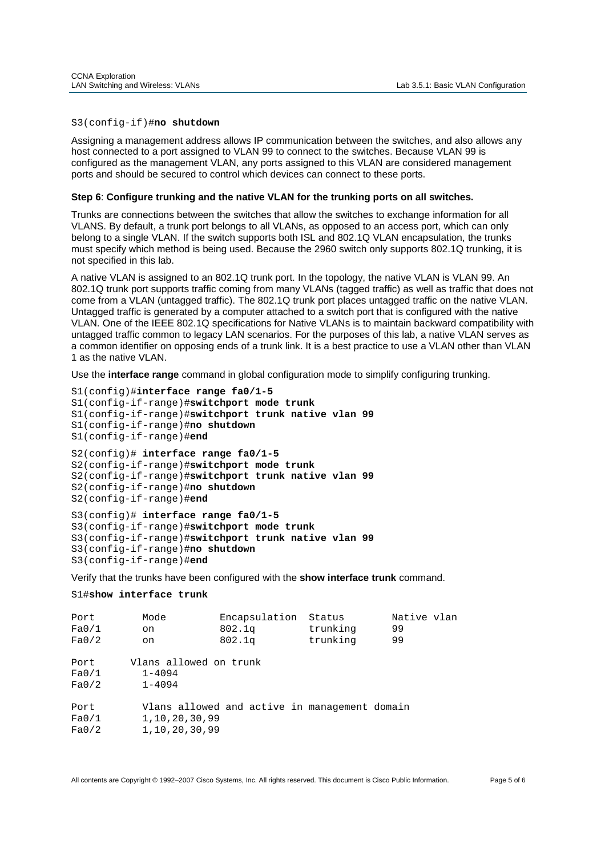#### S3(config-if)#**no shutdown**

Assigning a management address allows IP communication between the switches, and also allows any host connected to a port assigned to VLAN 99 to connect to the switches. Because VLAN 99 is configured as the management VLAN, any ports assigned to this VLAN are considered management ports and should be secured to control which devices can connect to these ports.

## **Step 6**: **Configure trunking and the native VLAN for the trunking ports on all switches.**

Trunks are connections between the switches that allow the switches to exchange information for all VLANS. By default, a trunk port belongs to all VLANs, as opposed to an access port, which can only belong to a single VLAN. If the switch supports both ISL and 802.1Q VLAN encapsulation, the trunks must specify which method is being used. Because the 2960 switch only supports 802.1Q trunking, it is not specified in this lab.

A native VLAN is assigned to an 802.1Q trunk port. In the topology, the native VLAN is VLAN 99. An 802.1Q trunk port supports traffic coming from many VLANs (tagged traffic) as well as traffic that does not come from a VLAN (untagged traffic). The 802.1Q trunk port places untagged traffic on the native VLAN. Untagged traffic is generated by a computer attached to a switch port that is configured with the native VLAN. One of the IEEE 802.1Q specifications for Native VLANs is to maintain backward compatibility with untagged traffic common to legacy LAN scenarios. For the purposes of this lab, a native VLAN serves as a common identifier on opposing ends of a trunk link. It is a best practice to use a VLAN other than VLAN 1 as the native VLAN.

Use the **interface range** command in global configuration mode to simplify configuring trunking.

```
S1(config)#interface range fa0/1-5 
S1(config-if-range)#switchport mode trunk 
S1(config-if-range)#switchport trunk native vlan 99
S1(config-if-range)#no shutdown
S1(config-if-range)#end
S2(config)# interface range fa0/1-5
S2(config-if-range)#switchport mode trunk 
S2(config-if-range)#switchport trunk native vlan 99
S2(config-if-range)#no shutdown
S2(config-if-range)#end
S3(config)# interface range fa0/1-5
S3(config-if-range)#switchport mode trunk 
S3(config-if-range)#switchport trunk native vlan 99
S3(config-if-range)#no shutdown
S3(config-if-range)#end
```
Verify that the trunks have been configured with the **show interface trunk** command.

```
S1#show interface trunk
```

| Port<br>Fa0/1<br>Fa0/2 | Mode<br>on<br>on                                   | Encapsulation<br>802.1q<br>802.1q             | Status<br>trunking<br>trunking | Native vlan<br>99<br>99 |
|------------------------|----------------------------------------------------|-----------------------------------------------|--------------------------------|-------------------------|
| Port<br>Fa0/1<br>Fa0/2 | Vlans allowed on trunk<br>$1 - 4094$<br>$1 - 4094$ |                                               |                                |                         |
| Port<br>Fa0/1<br>Fa0/2 | 1, 10, 20, 30, 99<br>1, 10, 20, 30, 99             | Vlans allowed and active in management domain |                                |                         |